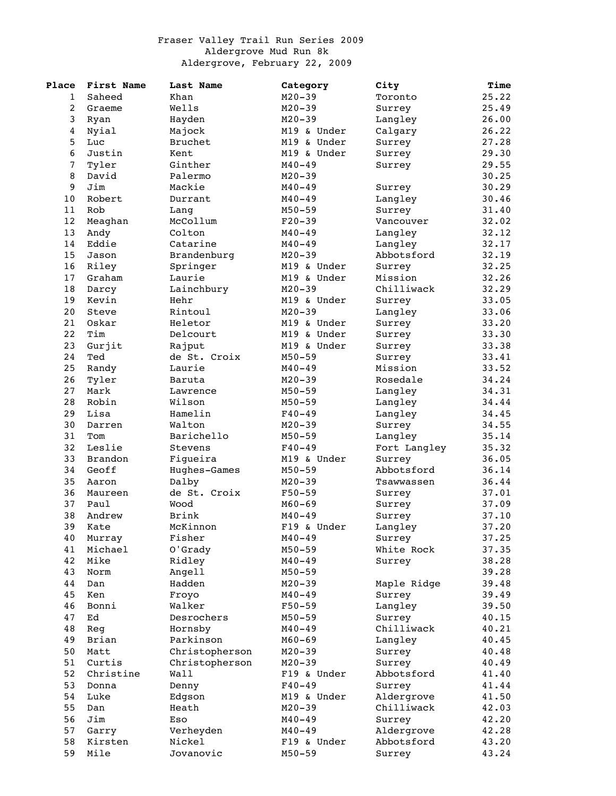## Fraser Valley Trail Run Series 2009 Aldergrove Mud Run 8k Aldergrove, February 22, 2009

| Place          | First Name | Last Name      | Category    | City         | Time  |
|----------------|------------|----------------|-------------|--------------|-------|
| 1              | Saheed     | Khan           | $M20 - 39$  | Toronto      | 25.22 |
| 2              | Graeme     | Wells          | $M20 - 39$  | Surrey       | 25.49 |
| 3              | Ryan       | Hayden         | $M20 - 39$  | Langley      | 26.00 |
| $\overline{4}$ | Nyial      | Majock         | M19 & Under | Calgary      | 26.22 |
| 5              | Luc        | <b>Bruchet</b> | M19 & Under | Surrey       | 27.28 |
| 6              | Justin     | Kent           | M19 & Under | Surrey       | 29.30 |
| $\sqrt{ }$     | Tyler      | Ginther        | $M40 - 49$  | Surrey       | 29.55 |
| 8              | David      | Palermo        | $M20 - 39$  |              | 30.25 |
| 9              | Jim        | Mackie         | $M40 - 49$  | Surrey       | 30.29 |
| 10             | Robert     | Durrant        | $M40 - 49$  | Langley      | 30.46 |
| 11             | Rob        | Lang           | $M50 - 59$  | Surrey       | 31.40 |
| 12             | Meaghan    | McCollum       | $F20-39$    | Vancouver    | 32.02 |
| 13             | Andy       | Colton         | $M40 - 49$  | Langley      | 32.12 |
| 14             | Eddie      | Catarine       | $M40 - 49$  |              | 32.17 |
|                |            |                |             | Langley      |       |
| 15             | Jason      | Brandenburg    | $M20 - 39$  | Abbotsford   | 32.19 |
| 16             | Riley      | Springer       | M19 & Under | Surrey       | 32.25 |
| 17             | Graham     | Laurie         | M19 & Under | Mission      | 32.26 |
| 18             | Darcy      | Lainchbury     | $M20 - 39$  | Chilliwack   | 32.29 |
| 19             | Kevin      | Hehr           | M19 & Under | Surrey       | 33.05 |
| 20             | Steve      | Rintoul        | $M20 - 39$  | Langley      | 33.06 |
| 21             | Oskar      | Heletor        | M19 & Under | Surrey       | 33.20 |
| 22             | Tim        | Delcourt       | M19 & Under | Surrey       | 33.30 |
| 23             | Gurjit     | Rajput         | M19 & Under | Surrey       | 33.38 |
| 24             | Ted        | de St. Croix   | $M50 - 59$  | Surrey       | 33.41 |
| 25             | Randy      | Laurie         | $M40 - 49$  | Mission      | 33.52 |
| 26             | Tyler      | Baruta         | $M20 - 39$  | Rosedale     | 34.24 |
| 27             | Mark       | Lawrence       | $M50 - 59$  | Langley      | 34.31 |
| 28             | Robin      | Wilson         | $M50 - 59$  | Langley      | 34.44 |
| 29             | Lisa       | Hamelin        | $F40 - 49$  | Langley      | 34.45 |
| 30             | Darren     | Walton         | $M20 - 39$  | Surrey       | 34.55 |
| 31             | Tom        | Barichello     | $M50 - 59$  | Langley      | 35.14 |
| 32             | Leslie     | Stevens        | $F40 - 49$  | Fort Langley | 35.32 |
| 33             | Brandon    | Figueira       | M19 & Under | Surrey       | 36.05 |
| 34             | Geoff      | Hughes-Games   | $M50 - 59$  | Abbotsford   | 36.14 |
| 35             | Aaron      | Dalby          | $M20 - 39$  | Tsawwassen   | 36.44 |
| 36             | Maureen    | de St. Croix   | F50-59      | Surrey       | 37.01 |
| 37             | Paul       | Wood           | $M60 - 69$  | Surrey       | 37.09 |
| 38             | Andrew     | <b>Brink</b>   | $M40 - 49$  | Surrey       | 37.10 |
| 39             | Kate       | McKinnon       | F19 & Under | Langley      | 37.20 |
|                |            |                |             |              | 37.25 |
| 40             | Murray     | Fisher         | $M40 - 49$  | Surrey       |       |
| 41             | Michael    | O'Grady        | $M50 - 59$  | White Rock   | 37.35 |
| 42             | Mike       | Ridley         | $M40 - 49$  | Surrey       | 38.28 |
| 43             | Norm       | Angell         | $M50 - 59$  |              | 39.28 |
| 44             | Dan        | Hadden         | $M20 - 39$  | Maple Ridge  | 39.48 |
| 45             | Ken        | Froyo          | $M40 - 49$  | Surrey       | 39.49 |
| 46             | Bonni      | Walker         | $F50 - 59$  | Langley      | 39.50 |
| 47             | Ed         | Desrochers     | $M50 - 59$  | Surrey       | 40.15 |
| 48             | Req        | Hornsby        | $M40 - 49$  | Chilliwack   | 40.21 |
| 49             | Brian      | Parkinson      | $M60 - 69$  | Langley      | 40.45 |
| 50             | Matt       | Christopherson | $M20 - 39$  | Surrey       | 40.48 |
| 51             | Curtis     | Christopherson | $M20 - 39$  | Surrey       | 40.49 |
| 52             | Christine  | Wall           | F19 & Under | Abbotsford   | 41.40 |
| 53             | Donna      | Denny          | $F40 - 49$  | Surrey       | 41.44 |
| 54             | Luke       | Edgson         | M19 & Under | Aldergrove   | 41.50 |
| 55             | Dan        | Heath          | $M20 - 39$  | Chilliwack   | 42.03 |
| 56             | Jim        | Eso            | $M40 - 49$  | Surrey       | 42.20 |
| 57             | Garry      | Verheyden      | $M40 - 49$  | Aldergrove   | 42.28 |
| 58             | Kirsten    | Nickel         | F19 & Under | Abbotsford   | 43.20 |
| 59             | Mile       | Jovanovic      | $M50 - 59$  | Surrey       | 43.24 |
|                |            |                |             |              |       |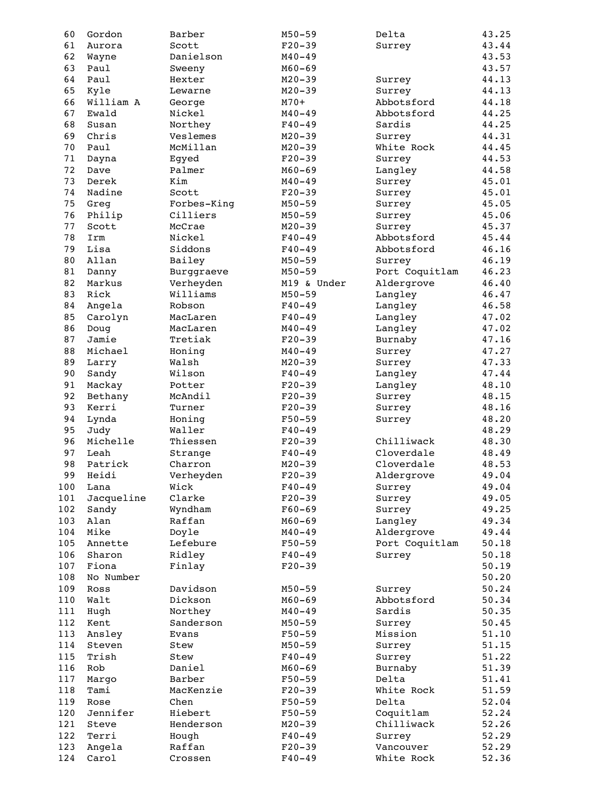| 60  | Gordon     | Barber      | $M50 - 59$  | Delta          | 43.25 |
|-----|------------|-------------|-------------|----------------|-------|
| 61  | Aurora     | Scott       | $F20-39$    | Surrey         | 43.44 |
| 62  | Wayne      | Danielson   | $M40 - 49$  |                | 43.53 |
| 63  | Paul       | Sweeny      | $M60 - 69$  |                | 43.57 |
| 64  | Paul       | Hexter      | $M20 - 39$  | Surrey         | 44.13 |
| 65  | Kyle       | Lewarne     | $M20 - 39$  | Surrey         | 44.13 |
| 66  | William A  | George      | $M70+$      | Abbotsford     | 44.18 |
| 67  | Ewald      | Nickel      | $M40 - 49$  | Abbotsford     | 44.25 |
| 68  | Susan      | Northey     | $F40 - 49$  | Sardis         | 44.25 |
| 69  | Chris      | Veslemes    | $M20 - 39$  |                | 44.31 |
|     |            |             |             | Surrey         |       |
| 70  | Paul       | McMillan    | $M20 - 39$  | White Rock     | 44.45 |
| 71  | Dayna      | Egyed       | $F20-39$    | Surrey         | 44.53 |
| 72  | Dave       | Palmer      | $M60 - 69$  | Langley        | 44.58 |
| 73  | Derek      | Kim         | $M40 - 49$  | Surrey         | 45.01 |
| 74  | Nadine     | Scott       | $F20-39$    | Surrey         | 45.01 |
| 75  | Greg       | Forbes-King | $M50 - 59$  | Surrey         | 45.05 |
| 76  | Philip     | Cilliers    | $M50 - 59$  | Surrey         | 45.06 |
| 77  | Scott      | McCrae      | $M20 - 39$  | Surrey         | 45.37 |
| 78  | Irm        | Nickel      | $F40 - 49$  | Abbotsford     | 45.44 |
| 79  | Lisa       | Siddons     | $F40 - 49$  | Abbotsford     | 46.16 |
| 80  | Allan      | Bailey      | $M50 - 59$  | Surrey         | 46.19 |
| 81  | Danny      | Burggraeve  | $M50 - 59$  | Port Coquitlam | 46.23 |
| 82  | Markus     | Verheyden   | M19 & Under | Aldergrove     | 46.40 |
| 83  | Rick       | Williams    | $M50 - 59$  | Langley        | 46.47 |
| 84  | Angela     | Robson      | $F40 - 49$  | Langley        | 46.58 |
| 85  | Carolyn    | MacLaren    | $F40 - 49$  | Langley        | 47.02 |
| 86  | Doug       | MacLaren    | $M40 - 49$  | Langley        | 47.02 |
| 87  | Jamie      | Tretiak     | $F20 - 39$  | Burnaby        | 47.16 |
| 88  | Michael    | Honing      | $M40 - 49$  | Surrey         | 47.27 |
| 89  | Larry      | Walsh       | $M20 - 39$  | Surrey         | 47.33 |
| 90  | Sandy      | Wilson      | $F40 - 49$  | Langley        | 47.44 |
|     |            |             |             |                |       |
| 91  | Mackay     | Potter      | $F20-39$    | Langley        | 48.10 |
| 92  | Bethany    | McAndil     | $F20 - 39$  | Surrey         | 48.15 |
| 93  | Kerri      | Turner      | $F20-39$    | Surrey         | 48.16 |
| 94  | Lynda      | Honing      | $F50 - 59$  | Surrey         | 48.20 |
| 95  | Judy       | Waller      | $F40 - 49$  |                | 48.29 |
| 96  | Michelle   | Thiessen    | $F20-39$    | Chilliwack     | 48.30 |
| 97  | Leah       | Strange     | $F40 - 49$  | Cloverdale     | 48.49 |
| 98  | Patrick    | Charron     | $M20 - 39$  | Cloverdale     | 48.53 |
| 99  | Heidi      | Verheyden   | $F20-39$    | Aldergrove     | 49.04 |
| 100 | Lana       | Wick        | $F40 - 49$  | Surrey         | 49.04 |
| 101 | Jacqueline | Clarke      | $F20-39$    | Surrey         | 49.05 |
| 102 | Sandy      | Wyndham     | $F60 - 69$  | Surrey         | 49.25 |
| 103 | Alan       | Raffan      | $M60 - 69$  | Langley        | 49.34 |
| 104 | Mike       | Doyle       | $M40 - 49$  | Aldergrove     | 49.44 |
| 105 | Annette    | Lefebure    | $F50 - 59$  | Port Coquitlam | 50.18 |
| 106 | Sharon     | Ridley      | $F40 - 49$  | Surrey         | 50.18 |
| 107 | Fiona      | Finlay      | $F20-39$    |                | 50.19 |
| 108 | No Number  |             |             |                | 50.20 |
| 109 | Ross       | Davidson    | $M50 - 59$  | Surrey         | 50.24 |
| 110 | Walt       | Dickson     | $M60 - 69$  | Abbotsford     | 50.34 |
|     |            | Northey     | $M40 - 49$  | Sardis         | 50.35 |
| 111 | Hugh       |             |             |                |       |
| 112 | Kent       | Sanderson   | $M50 - 59$  | Surrey         | 50.45 |
| 113 | Ansley     | Evans       | $F50 - 59$  | Mission        | 51.10 |
| 114 | Steven     | Stew        | $M50 - 59$  | Surrey         | 51.15 |
| 115 | Trish      | Stew        | $F40 - 49$  | Surrey         | 51.22 |
| 116 | Rob        | Daniel      | $M60 - 69$  | Burnaby        | 51.39 |
| 117 | Margo      | Barber      | $F50 - 59$  | Delta          | 51.41 |
| 118 | Tami       | MacKenzie   | $F20-39$    | White Rock     | 51.59 |
| 119 | Rose       | Chen        | $F50 - 59$  | Delta          | 52.04 |
| 120 | Jennifer   | Hiebert     | $F50 - 59$  | Coquitlam      | 52.24 |
| 121 | Steve      | Henderson   | $M20 - 39$  | Chilliwack     | 52.26 |
| 122 | Terri      | Hough       | $F40 - 49$  | Surrey         | 52.29 |
| 123 | Angela     | Raffan      | $F20-39$    | Vancouver      | 52.29 |
| 124 | Carol      | Crossen     | $F40 - 49$  | White Rock     | 52.36 |
|     |            |             |             |                |       |